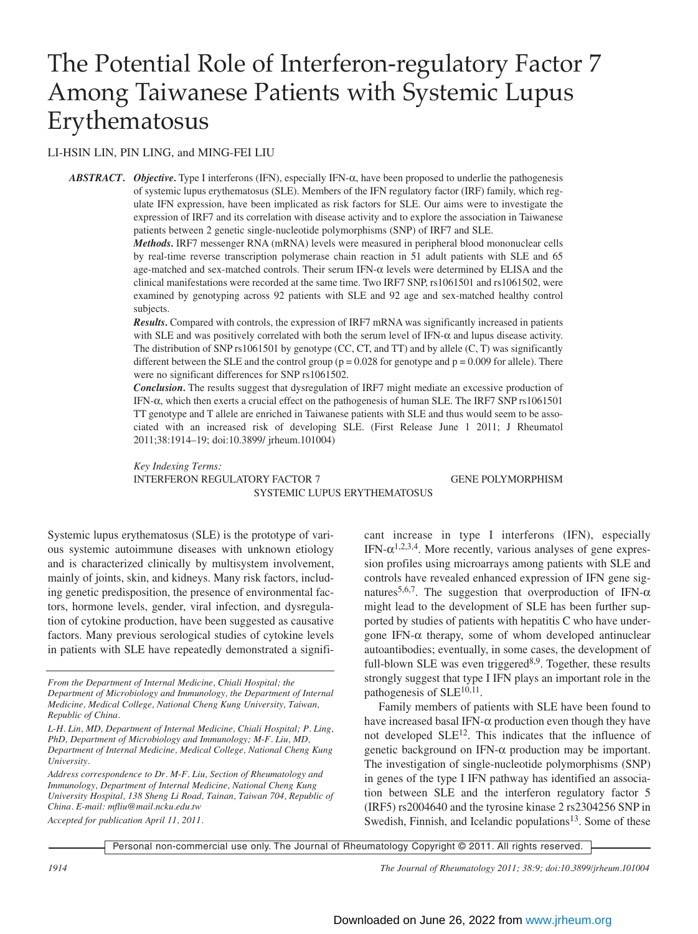# The Potential Role of Interferon-regulatory Factor 7 Among Taiwanese Patients with Systemic Lupus Erythematosus

## LI-HSIN LIN, PIN LING, and MING-FEI LIU

*ABSTRACT. Objective.* Type I interferons (IFN), especially IFN-α, have been proposed to underlie the pathogenesis of systemic lupus erythematosus (SLE). Members of the IFN regulatory factor (IRF) family, which regulate IFN expression, have been implicated as risk factors for SLE. Our aims were to investigate the expression of IRF7 and its correlation with disease activity and to explore the association in Taiwanese patients between 2 genetic single-nucleotide polymorphisms (SNP) of IRF7 and SLE.

> *Methods.* IRF7 messenger RNA (mRNA) levels were measured in peripheral blood mononuclear cells by real-time reverse transcription polymerase chain reaction in 51 adult patients with SLE and 65 age-matched and sex-matched controls. Their serum IFN-α levels were determined by ELISA and the clinical manifestations were recorded at the same time. Two IRF7 SNP, rs1061501 and rs1061502, were examined by genotyping across 92 patients with SLE and 92 age and sex-matched healthy control subjects.

> *Results.* Compared with controls, the expression of IRF7 mRNA was significantly increased in patients with SLE and was positively correlated with both the serum level of IFN- $\alpha$  and lupus disease activity. The distribution of SNP rs1061501 by genotype (CC, CT, and TT) and by allele (C, T) was significantly different between the SLE and the control group ( $p = 0.028$  for genotype and  $p = 0.009$  for allele). There were no significant differences for SNP rs1061502.

> *Conclusion.* The results suggest that dysregulation of IRF7 might mediate an excessive production of IFN-α, which then exerts a crucial effect on the pathogenesis of human SLE. The IRF7 SNP rs1061501 TT genotype and T allele are enriched in Taiwanese patients with SLE and thus would seem to be associated with an increased risk of developing SLE. (First Release June 1 2011; J Rheumatol 2011;38:1914–19; doi:10.3899/ jrheum.101004)

> *Key Indexing Terms:* INTERFERON REGULATORY FACTOR 7 GENE POLYMORPHISM SYSTEMIC LUPUS ERYTHEMATOSUS

Systemic lupus erythematosus (SLE) is the prototype of various systemic autoimmune diseases with unknown etiology and is characterized clinically by multisystem involvement, mainly of joints, skin, and kidneys. Many risk factors, including genetic predisposition, the presence of environmental factors, hormone levels, gender, viral infection, and dysregulation of cytokine production, have been suggested as causative factors. Many previous serological studies of cytokine levels in patients with SLE have repeatedly demonstrated a significant increase in type I interferons (IFN), especially IFN- $\alpha$ <sup>1,2,3,4</sup>. More recently, various analyses of gene expression profiles using microarrays among patients with SLE and controls have revealed enhanced expression of IFN gene signatures<sup>5,6,7</sup>. The suggestion that overproduction of IFN- $\alpha$ might lead to the development of SLE has been further supported by studies of patients with hepatitis C who have undergone IFN-α therapy, some of whom developed antinuclear autoantibodies; eventually, in some cases, the development of full-blown SLE was even triggered<sup>8,9</sup>. Together, these results strongly suggest that type I IFN plays an important role in the pathogenesis of  $SLE<sup>10,11</sup>$ .

Family members of patients with SLE have been found to have increased basal IFN- $\alpha$  production even though they have not developed SLE12. This indicates that the influence of genetic background on IFN-α production may be important. The investigation of single-nucleotide polymorphisms (SNP) in genes of the type I IFN pathway has identified an association between SLE and the interferon regulatory factor 5 (IRF5) rs2004640 and the tyrosine kinase 2 rs2304256 SNP in Swedish, Finnish, and Icelandic populations $13$ . Some of these

Personal non-commercial use only. The Journal of Rheumatology Copyright © 2011. All rights reserved.

*1914 The Journal of Rheumatology 2011; 38:9; doi:10.3899/jrheum.101004*

*From the Department of Internal Medicine, Chiali Hospital; the Department of Microbiology and Immunology, the Department of Internal Medicine, Medical College, National Cheng Kung University, Taiwan, Republic of China.*

*L-H. Lin, MD, Department of Internal Medicine, Chiali Hospital; P. Ling, PhD, Department of Microbiology and Immunology; M-F. Liu, MD, Department of Internal Medicine, Medical College, National Cheng Kung University.*

*Address correspondence to Dr. M-F. Liu, Section of Rheumatology and Immunology, Department of Internal Medicine, National Cheng Kung University Hospital, 138 Sheng Li Road, Tainan, Taiwan 704, Republic of China. E-mail: mfliu@mail.ncku.edu.tw Accepted for publication April 11, 2011.*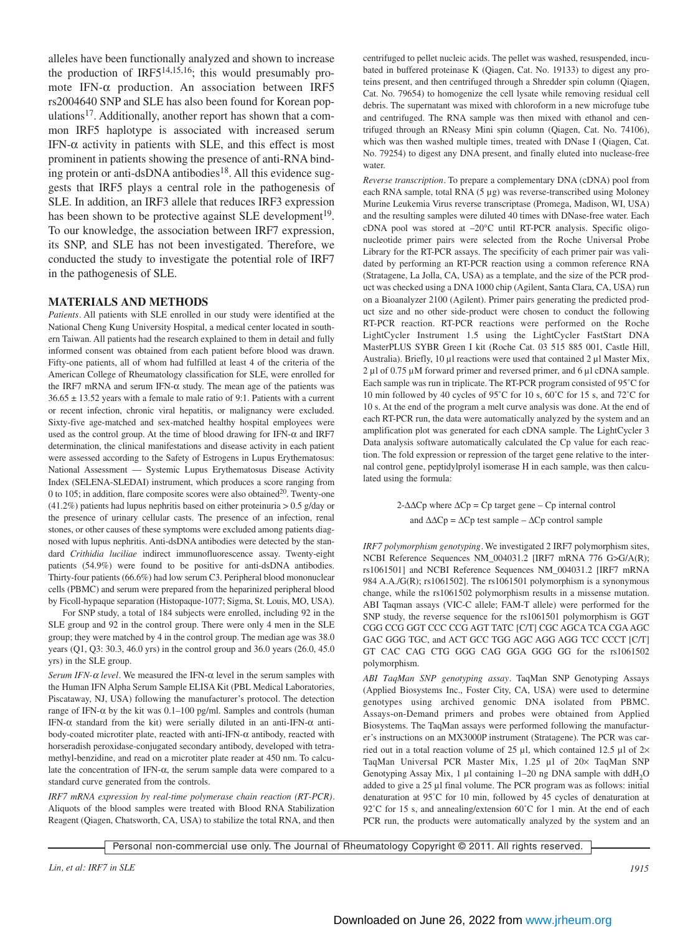alleles have been functionally analyzed and shown to increase the production of IRF514,15,16; this would presumably promote IFN-α production. An association between IRF5 rs2004640 SNP and SLE has also been found for Korean populations17. Additionally, another report has shown that a common IRF5 haplotype is associated with increased serum IFN- $\alpha$  activity in patients with SLE, and this effect is most prominent in patients showing the presence of anti-RNA binding protein or anti-dsDNA antibodies<sup>18</sup>. All this evidence suggests that IRF5 plays a central role in the pathogenesis of SLE. In addition, an IRF3 allele that reduces IRF3 expression has been shown to be protective against SLE development<sup>19</sup>. To our knowledge, the association between IRF7 expression, its SNP, and SLE has not been investigated. Therefore, we conducted the study to investigate the potential role of IRF7 in the pathogenesis of SLE.

#### **MATERIALS AND METHODS**

*Patients.* All patients with SLE enrolled in our study were identified at the National Cheng Kung University Hospital, a medical center located in southern Taiwan. All patients had the research explained to them in detail and fully informed consent was obtained from each patient before blood was drawn. Fifty-one patients, all of whom had fulfilled at least 4 of the criteria of the American College of Rheumatology classification for SLE, were enrolled for the IRF7 mRNA and serum IFN- $\alpha$  study. The mean age of the patients was  $36.65 \pm 13.52$  years with a female to male ratio of 9:1. Patients with a current or recent infection, chronic viral hepatitis, or malignancy were excluded. Sixty-five age-matched and sex-matched healthy hospital employees were used as the control group. At the time of blood drawing for IFN- $\alpha$  and IRF7 determination, the clinical manifestations and disease activity in each patient were assessed according to the Safety of Estrogens in Lupus Erythematosus: National Assessment — Systemic Lupus Erythematosus Disease Activity Index (SELENA-SLEDAI) instrument, which produces a score ranging from 0 to 105; in addition, flare composite scores were also obtained<sup>20</sup>. Twenty-one (41.2%) patients had lupus nephritis based on either proteinuria > 0.5 g/day or the presence of urinary cellular casts. The presence of an infection, renal stones, or other causes of these symptoms were excluded among patients diagnosed with lupus nephritis. Anti-dsDNA antibodies were detected by the standard *Crithidia luciliae* indirect immunofluorescence assay. Twenty-eight patients (54.9%) were found to be positive for anti-dsDNA antibodies. Thirty-four patients (66.6%) had low serum C3. Peripheral blood mononuclear cells (PBMC) and serum were prepared from the heparinized peripheral blood by Ficoll-hypaque separation (Histopaque-1077; Sigma, St. Louis, MO, USA).

For SNP study, a total of 184 subjects were enrolled, including 92 in the SLE group and 92 in the control group. There were only 4 men in the SLE group; they were matched by 4 in the control group. The median age was 38.0 years (Q1, Q3: 30.3, 46.0 yrs) in the control group and 36.0 years (26.0, 45.0 yrs) in the SLE group.

*Serum IFN-*<sup>α</sup> *level.* We measured the IFN-α level in the serum samples with the Human IFN Alpha Serum Sample ELISA Kit (PBL Medical Laboratories, Piscataway, NJ, USA) following the manufacturer's protocol. The detection range of IFN-α by the kit was 0.1–100 pg/ml. Samples and controls (human IFN-α standard from the kit) were serially diluted in an anti-IFN-α antibody-coated microtiter plate, reacted with anti-IFN-α antibody, reacted with horseradish peroxidase-conjugated secondary antibody, developed with tetra methyl-benzidine, and read on a microtiter plate reader at 450 nm. To calculate the concentration of IFN- $\alpha$ , the serum sample data were compared to a standard curve generated from the controls.

*IRF7 mRNA expression by real-time polymerase chain reaction (RT-PCR).* Aliquots of the blood samples were treated with Blood RNA Stabilization Reagent (Qiagen, Chatsworth, CA, USA) to stabilize the total RNA, and then centrifuged to pellet nucleic acids. The pellet was washed, resuspended, incubated in buffered proteinase K (Qiagen, Cat. No. 19133) to digest any proteins present, and then centrifuged through a Shredder spin column (Qiagen, Cat. No. 79654) to homogenize the cell lysate while removing residual cell debris. The supernatant was mixed with chloroform in a new microfuge tube and centrifuged. The RNA sample was then mixed with ethanol and centrifuged through an RNeasy Mini spin column (Qiagen, Cat. No. 74106), which was then washed multiple times, treated with DNase I (Qiagen, Cat. No. 79254) to digest any DNA present, and finally eluted into nuclease-free water.

*Reverse transcription.* To prepare a complementary DNA (cDNA) pool from each RNA sample, total RNA (5 µg) was reverse-transcribed using Moloney Murine Leukemia Virus reverse transcriptase (Promega, Madison, WI, USA) and the resulting samples were diluted 40 times with DNase-free water. Each cDNA pool was stored at  $-20^{\circ}$ C until RT-PCR analysis. Specific oligonucleotide primer pairs were selected from the Roche Universal Probe Library for the RT-PCR assays. The specificity of each primer pair was validated by performing an RT-PCR reaction using a common reference RNA (Stratagene, La Jolla, CA, USA) as a template, and the size of the PCR product was checked using a DNA 1000 chip (Agilent, Santa Clara, CA, USA) run on a Bioanalyzer 2100 (Agilent). Primer pairs generating the predicted product size and no other side-product were chosen to conduct the following RT-PCR reaction. RT-PCR reactions were performed on the Roche LightCycler Instrument 1.5 using the LightCycler FastStart DNA MasterPLUS SYBR Green I kit (Roche Cat. 03 515 885 001, Castle Hill, Australia). Briefly, 10 µl reactions were used that contained 2 µl Master Mix, 2 µl of 0.75 µM forward primer and reversed primer, and 6 µl cDNA sample. Each sample was run in triplicate. The RT-PCR program consisted of 95˚C for 10 min followed by 40 cycles of 95˚C for 10 s, 60˚C for 15 s, and 72˚C for 10 s. At the end of the program a melt curve analysis was done. At the end of each RT-PCR run, the data were automatically analyzed by the system and an amplification plot was generated for each cDNA sample. The LightCycler 3 Data analysis software automatically calculated the Cp value for each reaction. The fold expression or repression of the target gene relative to the internal control gene, peptidylprolyl isomerase H in each sample, was then calculated using the formula:

> 2-∆∆Cp where ∆Cp = Cp target gene – Cp internal control and  $\Delta \Delta C$ p =  $\Delta C$ p test sample –  $\Delta C$ p control sample

*IRF7 polymorphism genotyping.* We investigated 2 IRF7 polymorphism sites, NCBI Reference Sequences NM\_004031.2 [IRF7 mRNA 776 G>G/A(R); rs1061501] and NCBI Reference Sequences NM\_004031.2 [IRF7 mRNA 984 A.A./G(R); rs1061502]. The rs1061501 polymorphism is a synonymous change, while the rs1061502 polymorphism results in a missense mutation. ABI Taqman assays (VIC-C allele; FAM-T allele) were performed for the SNP study, the reverse sequence for the rs1061501 polymorphism is GGT CGG CCG GGT CCC CCG AGT TATC [C/T] CGC AGCA TCA CGA AGC GAC GGG TGC, and ACT GCC TGG AGC AGG AGG TCC CCCT [C/T] GT CAC CAG CTG GGG CAG GGA GGG GG for the rs1061502 polymorphism.

*ABI TaqMan SNP genotyping assay.* TaqMan SNP Genotyping Assays (Applied Biosystems Inc., Foster City, CA, USA) were used to determine genotypes using archived genomic DNA isolated from PBMC. Assays-on-Demand primers and probes were obtained from Applied Biosystems. The TaqMan assays were performed following the manufacturer's instructions on an MX3000P instrument (Stratagene). The PCR was carried out in a total reaction volume of 25  $\mu$ l, which contained 12.5  $\mu$ l of 2× TaqMan Universal PCR Master Mix, 1.25 µl of 20× TaqMan SNP Genotyping Assay Mix, 1 µl containing 1-20 ng DNA sample with ddH<sub>2</sub>O added to give a 25 µl final volume. The PCR program was as follows: initial denaturation at 95˚C for 10 min, followed by 45 cycles of denaturation at 92°C for 15 s, and annealing/extension 60°C for 1 min. At the end of each PCR run, the products were automatically analyzed by the system and an

Personal non-commercial use only. The Journal of Rheumatology Copyright © 2011. All rights reserved.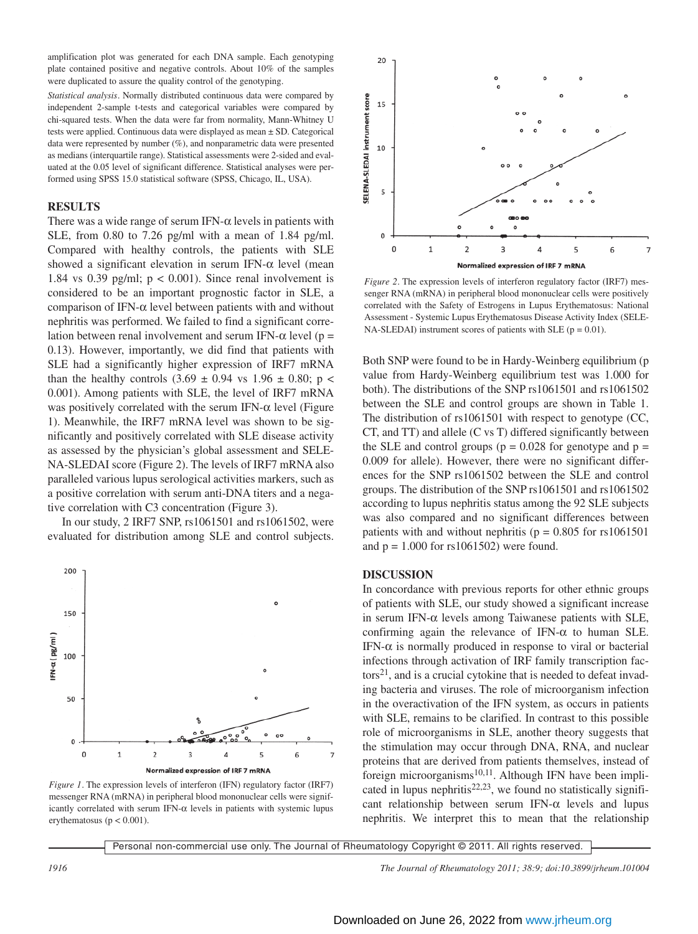amplification plot was generated for each DNA sample. Each genotyping plate contained positive and negative controls. About 10% of the samples were duplicated to assure the quality control of the genotyping.

*Statistical analysis.* Normally distributed continuous data were compared by independent 2-sample t-tests and categorical variables were compared by chi-squared tests. When the data were far from normality, Mann-Whitney U tests were applied. Continuous data were displayed as mean ± SD. Categorical data were represented by number (%), and nonparametric data were presented as medians (interquartile range). Statistical assessments were 2-sided and evaluated at the 0.05 level of significant difference. Statistical analyses were performed using SPSS 15.0 statistical software (SPSS, Chicago, IL, USA).

#### **RESULTS**

There was a wide range of serum IFN- $\alpha$  levels in patients with SLE, from 0.80 to 7.26 pg/ml with a mean of 1.84 pg/ml. Compared with healthy controls, the patients with SLE showed a significant elevation in serum IFN- $\alpha$  level (mean 1.84 vs 0.39 pg/ml;  $p < 0.001$ ). Since renal involvement is considered to be an important prognostic factor in SLE, a comparison of IFN-α level between patients with and without nephritis was performed. We failed to find a significant correlation between renal involvement and serum IFN- $\alpha$  level (p = 0.13). However, importantly, we did find that patients with SLE had a significantly higher expression of IRF7 mRNA than the healthy controls  $(3.69 \pm 0.94 \text{ vs } 1.96 \pm 0.80; \text{ p}$ 0.001). Among patients with SLE, the level of IRF7 mRNA was positively correlated with the serum IFN- $\alpha$  level (Figure 1). Meanwhile, the IRF7 mRNA level was shown to be significantly and positively correlated with SLE disease activity as assessed by the physician's global assessment and SELE-NA-SLEDAI score (Figure 2). The levels of IRF7 mRNA also paralleled various lupus serological activities markers, such as a positive correlation with serum anti-DNA titers and a negative correlation with C3 concentration (Figure 3).

In our study, 2 IRF7 SNP, rs1061501 and rs1061502, were evaluated for distribution among SLE and control subjects.



*Figure 1.* The expression levels of interferon (IFN) regulatory factor (IRF7) messenger RNA (mRNA) in peripheral blood mononuclear cells were significantly correlated with serum IFN- $\alpha$  levels in patients with systemic lupus erythematosus ( $p < 0.001$ ).



*Figure 2.* The expression levels of interferon regulatory factor (IRF7) messenger RNA (mRNA) in peripheral blood mononuclear cells were positively correlated with the Safety of Estrogens in Lupus Erythematosus: National Assessment - Systemic Lupus Erythematosus Disease Activity Index (SELE-NA-SLEDAI) instrument scores of patients with SLE ( $p = 0.01$ ).

Both SNP were found to be in Hardy-Weinberg equilibrium (p value from Hardy-Weinberg equilibrium test was 1.000 for both). The distributions of the SNP rs1061501 and rs1061502 between the SLE and control groups are shown in Table 1. The distribution of rs1061501 with respect to genotype (CC, CT, and TT) and allele (C vs T) differed significantly between the SLE and control groups ( $p = 0.028$  for genotype and  $p =$ 0.009 for allele). However, there were no significant differences for the SNP rs1061502 between the SLE and control groups. The distribution of the SNP rs1061501 and rs1061502 according to lupus nephritis status among the 92 SLE subjects was also compared and no significant differences between patients with and without nephritis ( $p = 0.805$  for rs1061501 and  $p = 1.000$  for  $rs1061502$ ) were found.

#### **DISCUSSION**

In concordance with previous reports for other ethnic groups of patients with SLE, our study showed a significant increase in serum IFN-α levels among Taiwanese patients with SLE, confirming again the relevance of IFN- $\alpha$  to human SLE. IFN-α is normally produced in response to viral or bacterial infections through activation of IRF family transcription fac- $\text{tors}^{21}$ , and is a crucial cytokine that is needed to defeat invading bacteria and viruses. The role of microorganism infection in the overactivation of the IFN system, as occurs in patients with SLE, remains to be clarified. In contrast to this possible role of microorganisms in SLE, another theory suggests that the stimulation may occur through DNA, RNA, and nuclear proteins that are derived from patients themselves, instead of foreign microorganisms<sup>10,11</sup>. Although IFN have been implicated in lupus nephritis<sup>22,23</sup>, we found no statistically significant relationship between serum IFN- $\alpha$  levels and lupus nephritis. We interpret this to mean that the relationship

Personal non-commercial use only. The Journal of Rheumatology Copyright © 2011. All rights reserved.

*1916 The Journal of Rheumatology 2011; 38:9; doi:10.3899/jrheum.101004*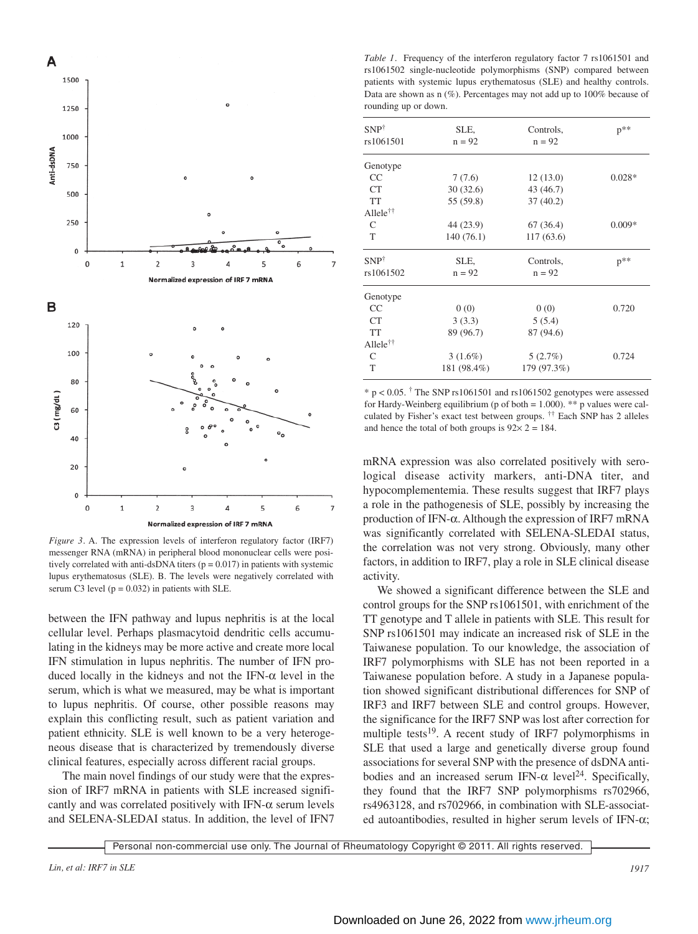

*Figure 3.* A. The expression levels of interferon regulatory factor (IRF7) messenger RNA (mRNA) in peripheral blood mononuclear cells were positively correlated with anti-dsDNA titers ( $p = 0.017$ ) in patients with systemic lupus erythematosus (SLE). B. The levels were negatively correlated with serum C3 level  $(p = 0.032)$  in patients with SLE.

between the IFN pathway and lupus nephritis is at the local cellular level. Perhaps plasmacytoid dendritic cells accumulating in the kidneys may be more active and create more local IFN stimulation in lupus nephritis. The number of IFN produced locally in the kidneys and not the IFN- $\alpha$  level in the serum, which is what we measured, may be what is important to lupus nephritis. Of course, other possible reasons may explain this conflicting result, such as patient variation and patient ethnicity. SLE is well known to be a very heterogeneous disease that is characterized by tremendously diverse clinical features, especially across different racial groups.

The main novel findings of our study were that the expression of IRF7 mRNA in patients with SLE increased significantly and was correlated positively with IFN- $\alpha$  serum levels and SELENA-SLEDAI status. In addition, the level of IFN7

*Table 1.* Frequency of the interferon regulatory factor 7 rs1061501 and rs1061502 single-nucleotide polymorphisms (SNP) compared between patients with systemic lupus erythematosus (SLE) and healthy controls. Data are shown as n (%). Percentages may not add up to 100% because of rounding up or down.

| $SNP^{\dagger}$         | SLE,        | Controls,   | $p^{**}$ |
|-------------------------|-------------|-------------|----------|
| rs1061501               | $n = 92$    | $n = 92$    |          |
| Genotype                |             |             |          |
| CC                      | 7(7.6)      | 12(13.0)    | $0.028*$ |
| <b>CT</b>               | 30(32.6)    | 43 (46.7)   |          |
| <b>TT</b>               | 55 (59.8)   | 37(40.2)    |          |
| $A1$ lele <sup>††</sup> |             |             |          |
| C                       | 44 (23.9)   | 67 (36.4)   | $0.009*$ |
| T                       | 140 (76.1)  | 117(63.6)   |          |
| $SNP^{\dagger}$         | SLE,        | Controls,   | $p**$    |
| rs1061502               | $n = 92$    | $n = 92$    |          |
| Genotype                |             |             |          |
| CC                      | 0(0)        | 0(0)        | 0.720    |
| CT                      | 3(3.3)      | 5(5.4)      |          |
| <b>TT</b>               | 89 (96.7)   | 87 (94.6)   |          |
| $A1$ lele <sup>††</sup> |             |             |          |
| $\mathsf{C}$            | $3(1.6\%)$  | 5(2.7%)     | 0.724    |
| T                       | 181 (98.4%) | 179 (97.3%) |          |
|                         |             |             |          |

 $* p < 0.05$ . <sup>†</sup> The SNP rs1061501 and rs1061502 genotypes were assessed for Hardy-Weinberg equilibrium (p of both  $= 1.000$ ). \*\* p values were calculated by Fisher's exact test between groups. †† Each SNP has 2 alleles and hence the total of both groups is  $92 \times 2 = 184$ .

mRNA expression was also correlated positively with serological disease activity markers, anti-DNA titer, and hypocomplementemia. These results suggest that IRF7 plays a role in the pathogenesis of SLE, possibly by increasing the production of IFN-α. Although the expression of IRF7 mRNA was significantly correlated with SELENA-SLEDAI status, the correlation was not very strong. Obviously, many other factors, in addition to IRF7, play a role in SLE clinical disease activity.

We showed a significant difference between the SLE and control groups for the SNP rs1061501, with enrichment of the TT genotype and T allele in patients with SLE. This result for SNP rs1061501 may indicate an increased risk of SLE in the Taiwanese population. To our knowledge, the association of IRF7 polymorphisms with SLE has not been reported in a Taiwanese population before. A study in a Japanese population showed significant distributional differences for SNP of IRF3 and IRF7 between SLE and control groups. However, the significance for the IRF7 SNP was lost after correction for multiple tests<sup>19</sup>. A recent study of IRF7 polymorphisms in SLE that used a large and genetically diverse group found associations for several SNP with the presence of dsDNA antibodies and an increased serum IFN- $\alpha$  level<sup>24</sup>. Specifically, they found that the IRF7 SNP polymorphisms rs702966, rs4963128, and rs702966, in combination with SLE-associated autoantibodies, resulted in higher serum levels of IFN-α;

Personal non-commercial use only. The Journal of Rheumatology Copyright © 2011. All rights reserved.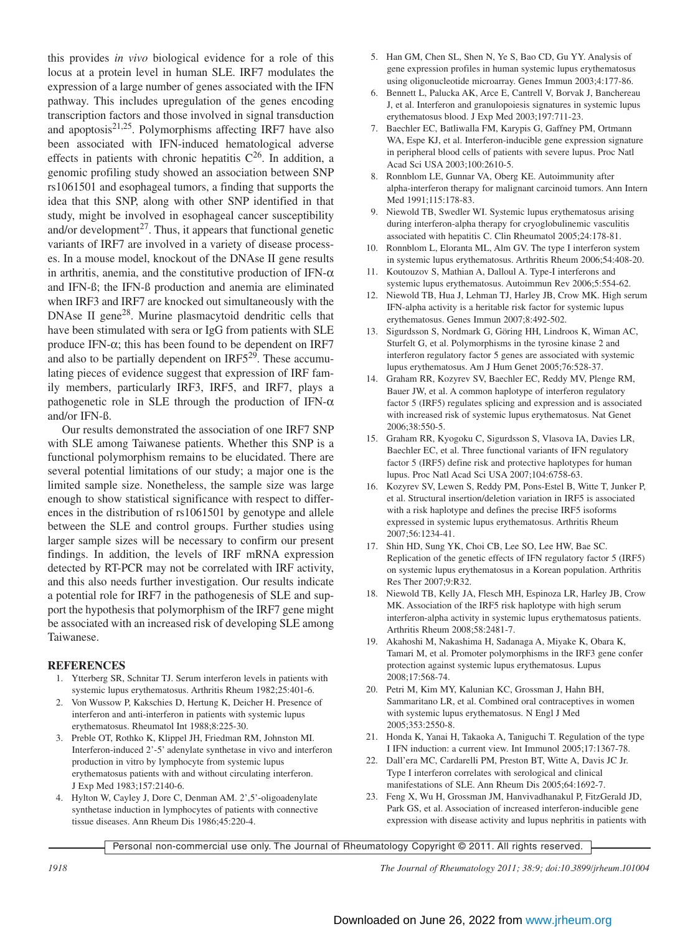this provides *in vivo* biological evidence for a role of this locus at a protein level in human SLE. IRF7 modulates the expression of a large number of genes associated with the IFN pathway. This includes upregulation of the genes encoding transcription factors and those involved in signal transduction and apoptosis $2^{1,25}$ . Polymorphisms affecting IRF7 have also been associated with IFN-induced hematological adverse effects in patients with chronic hepatitis  $C^{26}$ . In addition, a genomic profiling study showed an association between SNP rs1061501 and esophageal tumors, a finding that supports the idea that this SNP, along with other SNP identified in that study, might be involved in esophageal cancer susceptibility and/or development $^{27}$ . Thus, it appears that functional genetic variants of IRF7 are involved in a variety of disease processes. In a mouse model, knockout of the DNAse II gene results in arthritis, anemia, and the constitutive production of IFN- $\alpha$ and IFN-ß; the IFN-ß production and anemia are eliminated when IRF3 and IRF7 are knocked out simultaneously with the DNAse II gene<sup>28</sup>. Murine plasmacytoid dendritic cells that have been stimulated with sera or IgG from patients with SLE produce IFN-α; this has been found to be dependent on IRF7 and also to be partially dependent on IRF529. These accumulating pieces of evidence suggest that expression of IRF family members, particularly IRF3, IRF5, and IRF7, plays a pathogenetic role in SLE through the production of IFN- $\alpha$ and/or IFN-ß.

Our results demonstrated the association of one IRF7 SNP with SLE among Taiwanese patients. Whether this SNP is a functional polymorphism remains to be elucidated. There are several potential limitations of our study; a major one is the limited sample size. Nonetheless, the sample size was large enough to show statistical significance with respect to differences in the distribution of rs1061501 by genotype and allele between the SLE and control groups. Further studies using larger sample sizes will be necessary to confirm our present findings. In addition, the levels of IRF mRNA expression detected by RT-PCR may not be correlated with IRF activity, and this also needs further investigation. Our results indicate a potential role for IRF7 in the pathogenesis of SLE and support the hypothesis that polymorphism of the IRF7 gene might be associated with an increased risk of developing SLE among Taiwanese.

### **REFERENCES**

- 1. Ytterberg SR, Schnitar TJ. Serum interferon levels in patients with systemic lupus erythematosus. Arthritis Rheum 1982;25:401-6.
- 2. Von Wussow P, Kakschies D, Hertung K, Deicher H. Presence of interferon and anti-interferon in patients with systemic lupus erythematosus. Rheumatol Int 1988;8:225-30.
- 3. Preble OT, Rothko K, Klippel JH, Friedman RM, Johnston MI. Interferon-induced 2'-5' adenylate synthetase in vivo and interferon production in vitro by lymphocyte from systemic lupus erythematosus patients with and without circulating interferon. J Exp Med 1983;157:2140-6.
- 4. Hylton W, Cayley J, Dore C, Denman AM. 2',5'-oligoadenylate synthetase induction in lymphocytes of patients with connective tissue diseases. Ann Rheum Dis 1986;45:220-4.
- 5. Han GM, Chen SL, Shen N, Ye S, Bao CD, Gu YY. Analysis of gene expression profiles in human systemic lupus erythematosus using oligonucleotide microarray. Genes Immun 2003;4:177-86.
- 6. Bennett L, Palucka AK, Arce E, Cantrell V, Borvak J, Banchereau J, et al. Interferon and granulopoiesis signatures in systemic lupus erythematosus blood. J Exp Med 2003;197:711-23.
- 7. Baechler EC, Batliwalla FM, Karypis G, Gaffney PM, Ortmann WA, Espe KJ, et al. Interferon-inducible gene expression signature in peripheral blood cells of patients with severe lupus. Proc Natl Acad Sci USA 2003;100:2610-5.
- 8. Ronnblom LE, Gunnar VA, Oberg KE. Autoimmunity after alpha-interferon therapy for malignant carcinoid tumors. Ann Intern Med 1991;115:178-83.
- 9. Niewold TB, Swedler WI. Systemic lupus erythematosus arising during interferon-alpha therapy for cryoglobulinemic vasculitis associated with hepatitis C. Clin Rheumatol 2005;24:178-81.
- 10. Ronnblom L, Eloranta ML, Alm GV. The type I interferon system in systemic lupus erythematosus. Arthritis Rheum 2006;54:408-20.
- 11. Koutouzov S, Mathian A, Dalloul A. Type-I interferons and systemic lupus erythematosus. Autoimmun Rev 2006;5:554-62.
- 12. Niewold TB, Hua J, Lehman TJ, Harley JB, Crow MK. High serum IFN-alpha activity is a heritable risk factor for systemic lupus erythematosus. Genes Immun 2007;8:492-502.
- 13. Sigurdsson S, Nordmark G, Göring HH, Lindroos K, Wiman AC, Sturfelt G, et al. Polymorphisms in the tyrosine kinase 2 and interferon regulatory factor 5 genes are associated with systemic lupus erythematosus. Am J Hum Genet 2005;76:528-37.
- 14. Graham RR, Kozyrev SV, Baechler EC, Reddy MV, Plenge RM, Bauer JW, et al. A common haplotype of interferon regulatory factor 5 (IRF5) regulates splicing and expression and is associated with increased risk of systemic lupus erythematosus. Nat Genet 2006;38:550-5.
- 15. Graham RR, Kyogoku C, Sigurdsson S, Vlasova IA, Davies LR, Baechler EC, et al. Three functional variants of IFN regulatory factor 5 (IRF5) define risk and protective haplotypes for human lupus. Proc Natl Acad Sci USA 2007;104:6758-63.
- 16. Kozyrev SV, Lewen S, Reddy PM, Pons-Estel B, Witte T, Junker P, et al. Structural insertion/deletion variation in IRF5 is associated with a risk haplotype and defines the precise IRF5 isoforms expressed in systemic lupus erythematosus. Arthritis Rheum 2007;56:1234-41.
- 17. Shin HD, Sung YK, Choi CB, Lee SO, Lee HW, Bae SC. Replication of the genetic effects of IFN regulatory factor 5 (IRF5) on systemic lupus erythematosus in a Korean population. Arthritis Res Ther 2007;9:R32.
- 18. Niewold TB, Kelly JA, Flesch MH, Espinoza LR, Harley JB, Crow MK. Association of the IRF5 risk haplotype with high serum interferon-alpha activity in systemic lupus erythematosus patients. Arthritis Rheum 2008;58:2481-7.
- 19. Akahoshi M, Nakashima H, Sadanaga A, Miyake K, Obara K, Tamari M, et al. Promoter polymorphisms in the IRF3 gene confer protection against systemic lupus erythematosus. Lupus 2008;17:568-74.
- 20. Petri M, Kim MY, Kalunian KC, Grossman J, Hahn BH, Sammaritano LR, et al. Combined oral contraceptives in women with systemic lupus erythematosus. N Engl J Med 2005;353:2550-8.
- 21. Honda K, Yanai H, Takaoka A, Taniguchi T. Regulation of the type I IFN induction: a current view. Int Immunol 2005;17:1367-78.
- 22. Dall'era MC, Cardarelli PM, Preston BT, Witte A, Davis JC Jr. Type I interferon correlates with serological and clinical manifestations of SLE. Ann Rheum Dis 2005;64:1692-7.
- 23. Feng X, Wu H, Grossman JM, Hanvivadhanakul P, FitzGerald JD, Park GS, et al. Association of increased interferon-inducible gene expression with disease activity and lupus nephritis in patients with

Personal non-commercial use only. The Journal of Rheumatology Copyright © 2011. All rights reserved.

*1918 The Journal of Rheumatology 2011; 38:9; doi:10.3899/jrheum.101004*